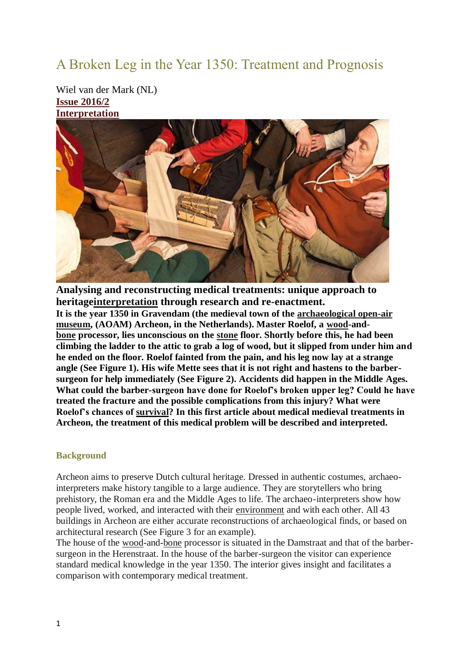# A Broken Leg in the Year 1350: Treatment and Prognosis

Wiel van der Mark (NL) **[Issue 2016/2](http://journal.exarc.net/issue-2016-2) [Interpretation](http://journal.exarc.net/category/interpretation)**



**Analysing and reconstructing medical treatments: unique approach to heritag[einterpretation](http://journal.exarc.net/lexicon/6#Interpretation) through research and re-enactment. It is the year 1350 in Gravendam (the medieval town of the [archaeological open-air](http://journal.exarc.net/lexicon/6#Archaeological_open-air_museum)  [museum,](http://journal.exarc.net/lexicon/6#Archaeological_open-air_museum) (AOAM) Archeon, in the Netherlands). Master Roelof, a [wood-](http://journal.exarc.net/lexicon/6#Wood)and[bone](http://journal.exarc.net/lexicon/6#Bone) processor, lies unconscious on the [stone](http://journal.exarc.net/lexicon/6#Stone) floor. Shortly before this, he had been climbing the ladder to the attic to grab a log of wood, but it slipped from under him and he ended on the floor. Roelof fainted from the pain, and his leg now lay at a strange angle (See Figure 1). His wife Mette sees that it is not right and hastens to the barbersurgeon for help immediately (See Figure 2). Accidents did happen in the Middle Ages. What could the barber-surgeon have done for Roelof's broken upper leg? Could he have treated the fracture and the possible complications from this injury? What were Roelof's chances of [survival?](http://journal.exarc.net/lexicon/6#Survival) In this first article about medical medieval treatments in Archeon, the treatment of this medical problem will be described and interpreted.**

## **Background**

Archeon aims to preserve Dutch cultural heritage. Dressed in authentic costumes, archaeointerpreters make history tangible to a large audience. They are storytellers who bring prehistory, the Roman era and the Middle Ages to life. The archaeo-interpreters show how people lived, worked, and interacted with their [environment](http://journal.exarc.net/lexicon/6#Environment) and with each other. All 43 buildings in Archeon are either accurate reconstructions of archaeological finds, or based on architectural research (See Figure 3 for an example).

The house of the [wood-](http://journal.exarc.net/lexicon/6#Wood)and[-bone](http://journal.exarc.net/lexicon/6#Bone) processor is situated in the Damstraat and that of the barbersurgeon in the Herenstraat. In the house of the barber-surgeon the visitor can experience standard medical knowledge in the year 1350. The interior gives insight and facilitates a comparison with contemporary medical treatment.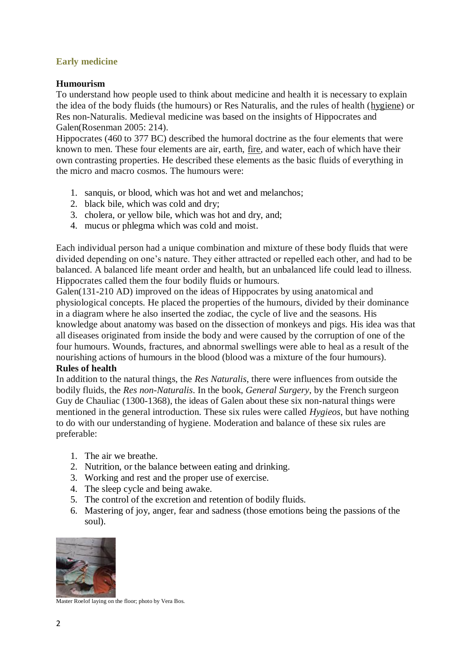# **Early medicine**

# **Humourism**

To understand how people used to think about medicine and health it is necessary to explain the idea of the body fluids (the humours) or Res Naturalis, and the rules of health [\(hygiene\)](http://journal.exarc.net/lexicon/6#Hygiene) or Res non-Naturalis. Medieval medicine was based on the insights of Hippocrates and Galen(Rosenman 2005: 214).

Hippocrates (460 to 377 BC) described the humoral doctrine as the four elements that were known to men. These four elements are air, earth, [fire,](http://journal.exarc.net/lexicon/6#Fire) and water, each of which have their own contrasting properties. He described these elements as the basic fluids of everything in the micro and macro cosmos. The humours were:

- 1. sanquis, or blood, which was hot and wet and melanchos;
- 2. black bile, which was cold and dry;
- 3. cholera, or yellow bile, which was hot and dry, and;
- 4. mucus or phlegma which was cold and moist.

Each individual person had a unique combination and mixture of these body fluids that were divided depending on one's nature. They either attracted or repelled each other, and had to be balanced. A balanced life meant order and health, but an unbalanced life could lead to illness. Hippocrates called them the four bodily fluids or humours.

Galen(131-210 AD) improved on the ideas of Hippocrates by using anatomical and physiological concepts. He placed the properties of the humours, divided by their dominance in a diagram where he also inserted the zodiac, the cycle of live and the seasons. His knowledge about anatomy was based on the dissection of monkeys and pigs. His idea was that all diseases originated from inside the body and were caused by the corruption of one of the four humours. Wounds, fractures, and abnormal swellings were able to heal as a result of the nourishing actions of humours in the blood (blood was a mixture of the four humours).

# **Rules of health**

In addition to the natural things, the *Res Naturalis*, there were influences from outside the bodily fluids, the *Res non-Naturalis*. In the book, *General Surgery*, by the French surgeon Guy de Chauliac (1300-1368), the ideas of Galen about these six non-natural things were mentioned in the general introduction. These six rules were called *Hygieos*, but have nothing to do with our understanding of hygiene. Moderation and balance of these six rules are preferable:

- 1. The air we breathe.
- 2. Nutrition, or the balance between eating and drinking.
- 3. Working and rest and the proper use of exercise.
- 4. The sleep cycle and being awake.
- 5. The control of the excretion and retention of bodily fluids.
- 6. Mastering of joy, anger, fear and sadness (those emotions being the passions of the soul).



Master Roelof laying on the floor; photo by Vera Bos.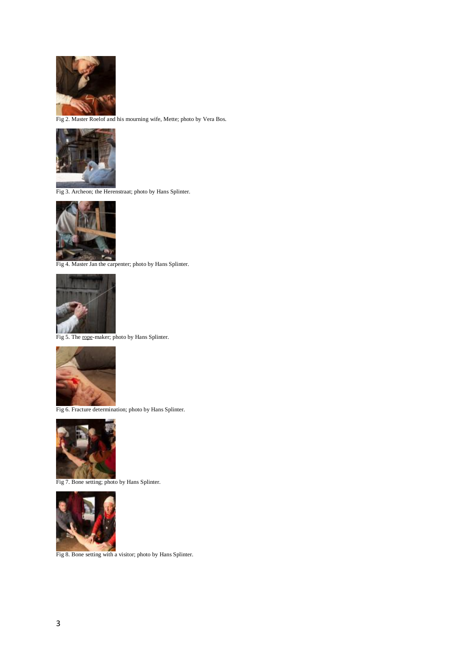

Fig 2. Master Roelof and his mourning wife, Mette; photo by Vera Bos.



Fig 3. Archeon; the Herenstraat; photo by Hans Splinter.



Fig 4. Master Jan the carpenter; photo by Hans Splinter.



Fig 5. The [rope-](http://journal.exarc.net/lexicon/6#Rope)maker; photo by Hans Splinter.



Fig 6. Fracture determination; photo by Hans Splinter.



Fig 7. Bone setting; photo by Hans Splinter.



Fig 8. Bone setting with a visitor; photo by Hans Splinter.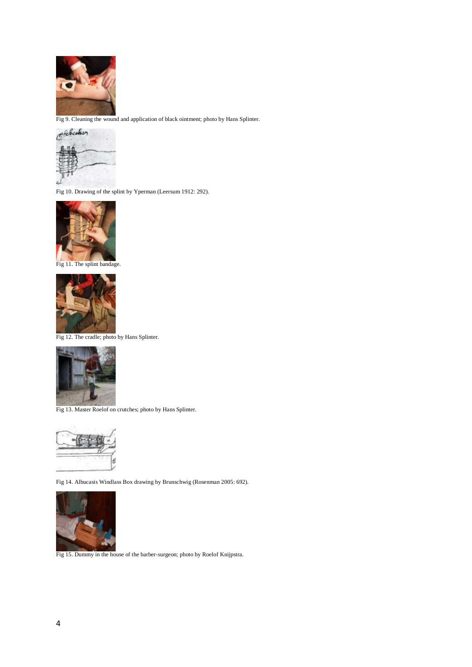

Fig 9. Cleaning the wound and application of black ointment; photo by Hans Splinter.



Fig 10. Drawing of the splint by Yperman (Leersum 1912: 292).



Fig 11. The splint bandage.



Fig 12. The cradle; photo by Hans Splinter.



Fig 13. Master Roelof on crutches; photo by Hans Splinter.



Fig 14. Albucasis Windlass Box drawing by Brunschwig (Rosenman 2005: 692).



Fig 15. Dummy in the house of the barber-surgeon; photo by Roelof Knijpstra.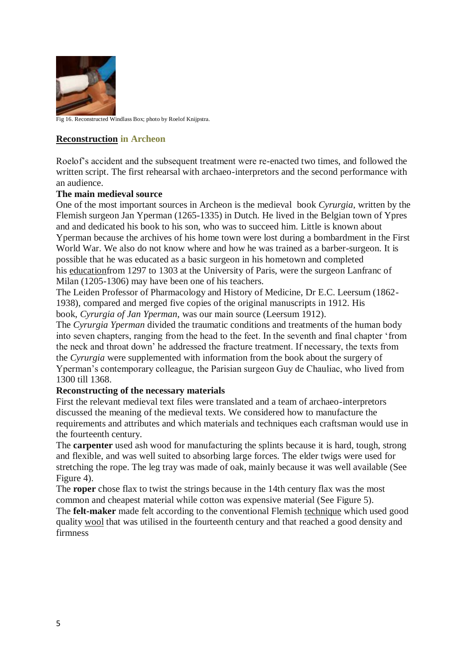

Fig 16. Reconstructed Windlass Box; photo by Roelof Knijpstra.

# **[Reconstruction](http://journal.exarc.net/lexicon/6#Reconstruction) in Archeon**

Roelof's accident and the subsequent treatment were re-enacted two times, and followed the written script. The first rehearsal with archaeo-interpretors and the second performance with an audience.

## **The main medieval source**

One of the most important sources in Archeon is the medieval book *Cyrurgia*, written by the Flemish surgeon Jan Yperman (1265-1335) in Dutch. He lived in the Belgian town of Ypres and and dedicated his book to his son, who was to succeed him. Little is known about Yperman because the archives of his home town were lost during a bombardment in the First World War. We also do not know where and how he was trained as a barber-surgeon. It is possible that he was educated as a basic surgeon in his hometown and completed his [educationf](http://journal.exarc.net/lexicon/6#Education)rom 1297 to 1303 at the University of Paris, were the surgeon Lanfranc of Milan (1205-1306) may have been one of his teachers.

The Leiden Professor of Pharmacology and History of Medicine, Dr E.C. Leersum (1862- 1938), compared and merged five copies of the original manuscripts in 1912. His book, *Cyrurgia of Jan Yperman*, was our main source (Leersum 1912).

The *Cyrurgia Yperman* divided the traumatic conditions and treatments of the human body into seven chapters, ranging from the head to the feet. In the seventh and final chapter 'from the neck and throat down' he addressed the fracture treatment. If necessary, the texts from the *Cyrurgia* were supplemented with information from the book about the surgery of Yperman's contemporary colleague, the Parisian surgeon Guy de Chauliac, who lived from 1300 till 1368.

## **Reconstructing of the necessary materials**

First the relevant medieval text files were translated and a team of archaeo-interpretors discussed the meaning of the medieval texts. We considered how to manufacture the requirements and attributes and which materials and techniques each craftsman would use in the fourteenth century.

The **carpenter** used ash wood for manufacturing the splints because it is hard, tough, strong and flexible, and was well suited to absorbing large forces. The elder twigs were used for stretching the rope. The leg tray was made of oak, mainly because it was well available (See Figure 4).

The **roper** chose flax to twist the strings because in the 14th century flax was the most common and cheapest material while cotton was expensive material (See Figure 5). The **felt-maker** made felt according to the conventional Flemish [technique](http://journal.exarc.net/lexicon/6#Technique) which used good

quality [wool](http://journal.exarc.net/lexicon/6#Wool) that was utilised in the fourteenth century and that reached a good density and firmness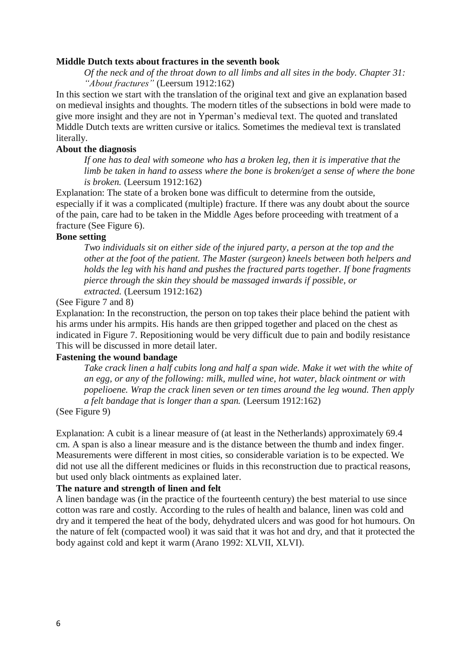#### **Middle Dutch texts about fractures in the seventh book**

*Of the neck and of the throat down to all limbs and all sites in the body. Chapter 31: "About fractures"* (Leersum 1912:162)

In this section we start with the translation of the original text and give an explanation based on medieval insights and thoughts. The modern titles of the subsections in bold were made to give more insight and they are not in Yperman's medieval text. The quoted and translated Middle Dutch texts are written cursive or italics. Sometimes the medieval text is translated literally.

### **About the diagnosis**

*If one has to deal with someone who has a broken leg, then it is imperative that the limb be taken in hand to assess where the bone is broken/get a sense of where the bone is broken.* (Leersum 1912:162)

Explanation: The state of a broken bone was difficult to determine from the outside, especially if it was a complicated (multiple) fracture. If there was any doubt about the source of the pain, care had to be taken in the Middle Ages before proceeding with treatment of a fracture (See Figure 6).

#### **Bone setting**

*Two individuals sit on either side of the injured party, a person at the top and the other at the foot of the patient. The Master (surgeon) kneels between both helpers and holds the leg with his hand and pushes the fractured parts together. If bone fragments pierce through the skin they should be massaged inwards if possible, or extracted.* (Leersum 1912:162)

#### (See Figure 7 and 8)

Explanation: In the reconstruction, the person on top takes their place behind the patient with his arms under his armpits. His hands are then gripped together and placed on the chest as indicated in Figure 7. Repositioning would be very difficult due to pain and bodily resistance This will be discussed in more detail later.

#### **Fastening the wound bandage**

*Take crack linen a half cubits long and half a span wide. Make it wet with the white of an egg, or any of the following: milk, mulled wine, hot water, black ointment or with popelioene. Wrap the crack linen seven or ten times around the leg wound. Then apply a felt bandage that is longer than a span.* (Leersum 1912:162)

### (See Figure 9)

Explanation: A cubit is a linear measure of (at least in the Netherlands) approximately 69.4 cm. A span is also a linear measure and is the distance between the thumb and index finger. Measurements were different in most cities, so considerable variation is to be expected. We did not use all the different medicines or fluids in this reconstruction due to practical reasons, but used only black ointments as explained later.

#### **The nature and strength of linen and felt**

A linen bandage was (in the practice of the fourteenth century) the best material to use since cotton was rare and costly. According to the rules of health and balance, linen was cold and dry and it tempered the heat of the body, dehydrated ulcers and was good for hot humours. On the nature of felt (compacted wool) it was said that it was hot and dry, and that it protected the body against cold and kept it warm (Arano 1992: XLVII, XLVI).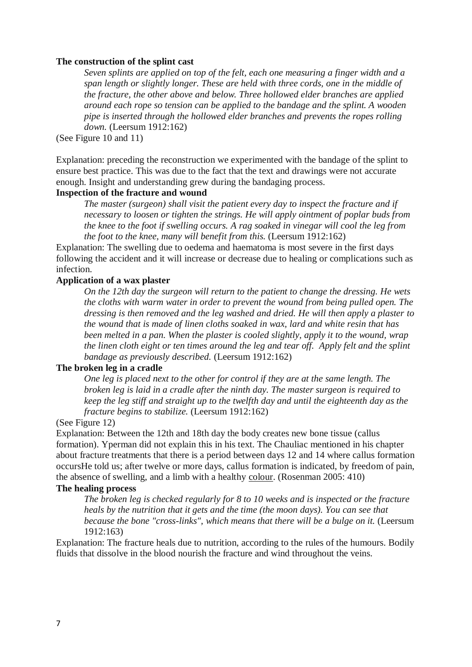#### **The [construction](http://journal.exarc.net/lexicon/6#Construction) of the splint cast**

*Seven splints are applied on top of the felt, each one measuring a finger width and a span length or slightly longer. These are held with three cords, one in the middle of the fracture, the other above and below. Three hollowed elder branches are applied around each rope so tension can be applied to the bandage and the splint. A wooden pipe is inserted through the hollowed elder branches and prevents the ropes rolling down.* (Leersum 1912:162)

(See Figure 10 and 11)

Explanation: preceding the reconstruction we experimented with the bandage of the splint to ensure best practice. This was due to the fact that the text and drawings were not accurate enough. Insight and understanding grew during the bandaging process.

### **Inspection of the fracture and wound**

*The master (surgeon) shall visit the patient every day to inspect the fracture and if necessary to loosen or tighten the strings. He will apply ointment of poplar buds from the knee to the foot if swelling occurs. A rag soaked in vinegar will cool the leg from the foot to the knee, many will benefit from this.* (Leersum 1912:162)

Explanation: The swelling due to oedema and haematoma is most severe in the first days following the accident and it will increase or decrease due to healing or complications such as infection.

#### **Application of a wax plaster**

*On the 12th day the surgeon will return to the patient to change the dressing. He wets the cloths with warm water in order to prevent the wound from being pulled open. The dressing is then removed and the leg washed and dried. He will then apply a plaster to the wound that is made of linen cloths soaked in wax, lard and white resin that has been melted in a pan. When the plaster is cooled slightly, apply it to the wound, wrap the linen cloth eight or ten times around the leg and tear off. Apply felt and the splint bandage as previously described.* (Leersum 1912:162)

## **The broken leg in a cradle**

*One leg is placed next to the other for control if they are at the same length. The broken leg is laid in a cradle after the ninth day. The master surgeon is required to keep the leg stiff and straight up to the twelfth day and until the eighteenth day as the fracture begins to stabilize.* (Leersum 1912:162)

#### (See Figure 12)

Explanation: Between the 12th and 18th day the body creates new bone tissue (callus formation). Yperman did not explain this in his text. The Chauliac mentioned in his chapter about fracture treatments that there is a period between days 12 and 14 where callus formation occursHe told us; after twelve or more days, callus formation is indicated, by freedom of pain, the absence of swelling, and a limb with a healthy [colour.](http://journal.exarc.net/lexicon/6#Colour) (Rosenman 2005: 410)

## **The healing process**

*The broken leg is checked regularly for 8 to 10 weeks and is inspected or the fracture heals by the nutrition that it gets and the time (the moon days). You can see that because the bone "cross-links", which means that there will be a bulge on it.* (Leersum 1912:163)

Explanation: The fracture heals due to nutrition, according to the rules of the humours. Bodily fluids that dissolve in the blood nourish the fracture and wind throughout the veins.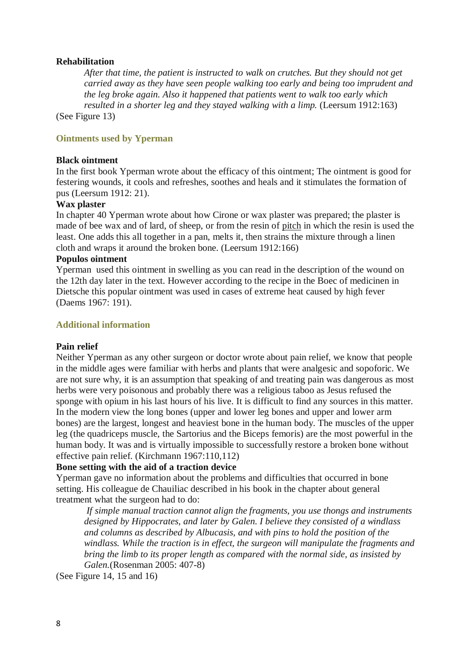## **Rehabilitation**

*After that time, the patient is instructed to walk on crutches. But they should not get carried away as they have seen people walking too early and being too imprudent and the leg broke again. Also it happened that patients went to walk too early which resulted in a shorter leg and they stayed walking with a limp.* (Leersum 1912:163) (See Figure 13)

**Ointments used by Yperman**

## **Black ointment**

In the first book Yperman wrote about the efficacy of this ointment; The ointment is good for festering wounds, it cools and refreshes, soothes and heals and it stimulates the formation of pus (Leersum 1912: 21).

# **Wax plaster**

In chapter 40 Yperman wrote about how Cirone or wax plaster was prepared; the plaster is made of bee wax and of lard, of sheep, or from the resin of [pitch](http://journal.exarc.net/lexicon/6#Pitch) in which the resin is used the least. One adds this all together in a pan, melts it, then strains the mixture through a linen cloth and wraps it around the broken bone. (Leersum 1912:166)

## **Populos ointment**

Yperman used this ointment in swelling as you can read in the description of the wound on the 12th day later in the text. However according to the recipe in the Boec of medicinen in Dietsche this popular ointment was used in cases of extreme heat caused by high fever (Daems 1967: 191).

## **Additional information**

## **Pain relief**

Neither Yperman as any other surgeon or doctor wrote about pain relief, we know that people in the middle ages were familiar with herbs and plants that were analgesic and sopoforic. We are not sure why, it is an assumption that speaking of and treating pain was dangerous as most herbs were very poisonous and probably there was a religious taboo as Jesus refused the sponge with opium in his last hours of his live. It is difficult to find any sources in this matter. In the modern view the long bones (upper and lower leg bones and upper and lower arm bones) are the largest, longest and heaviest bone in the human body. The muscles of the upper leg (the quadriceps muscle, the Sartorius and the Biceps femoris) are the most powerful in the human body. It was and is virtually impossible to successfully restore a broken bone without effective pain relief. (Kirchmann 1967:110,112)

# **Bone setting with the aid of a traction device**

Yperman gave no information about the problems and difficulties that occurred in bone setting. His colleague de Chauiliac described in his book in the chapter about general treatment what the surgeon had to do:

*If simple manual traction cannot align the fragments, you use thongs and instruments designed by Hippocrates, and later by Galen. I believe they consisted of a windlass and columns as described by Albucasis, and with pins to hold the position of the windlass. While the traction is in effect, the surgeon will manipulate the fragments and bring the limb to its proper length as compared with the normal side, as insisted by Galen.*(Rosenman 2005: 407-8)

(See Figure 14, 15 and 16)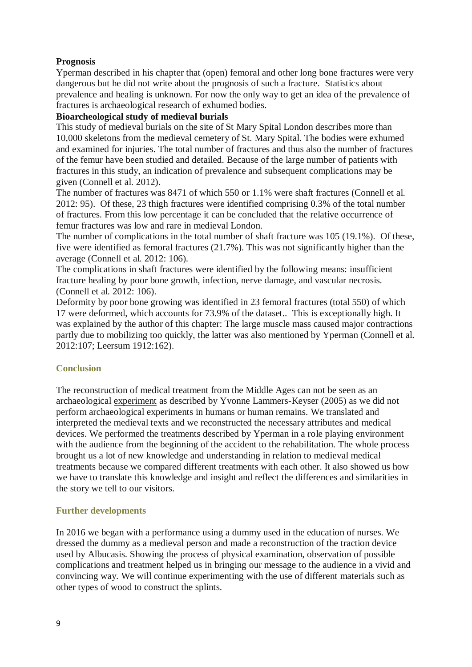# **Prognosis**

Yperman described in his chapter that (open) femoral and other long bone fractures were very dangerous but he did not write about the prognosis of such a fracture. Statistics about prevalence and healing is unknown. For now the only way to get an idea of the prevalence of fractures is archaeological research of exhumed bodies.

# **Bioarcheological study of medieval burials**

This study of medieval burials on the site of St Mary Spital London describes more than 10,000 skeletons from the medieval cemetery of St. Mary Spital. The bodies were exhumed and examined for injuries. The total number of fractures and thus also the number of fractures of the femur have been studied and detailed. Because of the large number of patients with fractures in this study, an indication of prevalence and subsequent complications may be given (Connell et al. 2012).

The number of fractures was 8471 of which 550 or 1.1% were shaft fractures (Connell et al. 2012: 95). Of these, 23 thigh fractures were identified comprising 0.3% of the total number of fractures. From this low percentage it can be concluded that the relative occurrence of femur fractures was low and rare in medieval London.

The number of complications in the total number of shaft fracture was 105 (19.1%). Of these, five were identified as femoral fractures (21.7%). This was not significantly higher than the average (Connell et al. 2012: 106).

The complications in shaft fractures were identified by the following means: insufficient fracture healing by poor bone growth, infection, nerve damage, and vascular necrosis. (Connell et al. 2012: 106).

Deformity by poor bone growing was identified in 23 femoral fractures (total 550) of which 17 were deformed, which accounts for 73.9% of the dataset.. This is exceptionally high. It was explained by the author of this chapter: The large muscle mass caused major contractions partly due to mobilizing too quickly, the latter was also mentioned by Yperman (Connell et al. 2012:107; Leersum 1912:162).

# **Conclusion**

The reconstruction of medical treatment from the Middle Ages can not be seen as an archaeological [experiment](http://journal.exarc.net/lexicon/6#Experiment) as described by Yvonne Lammers-Keyser (2005) as we did not perform archaeological experiments in humans or human remains. We translated and interpreted the medieval texts and we reconstructed the necessary attributes and medical devices. We performed the treatments described by Yperman in a role playing environment with the audience from the beginning of the accident to the rehabilitation. The whole process brought us a lot of new knowledge and understanding in relation to medieval medical treatments because we compared different treatments with each other. It also showed us how we have to translate this knowledge and insight and reflect the differences and similarities in the story we tell to our visitors.

# **Further developments**

In 2016 we began with a performance using a dummy used in the education of nurses. We dressed the dummy as a medieval person and made a reconstruction of the traction device used by Albucasis. Showing the process of physical examination, observation of possible complications and treatment helped us in bringing our message to the audience in a vivid and convincing way. We will continue experimenting with the use of different materials such as other types of wood to construct the splints.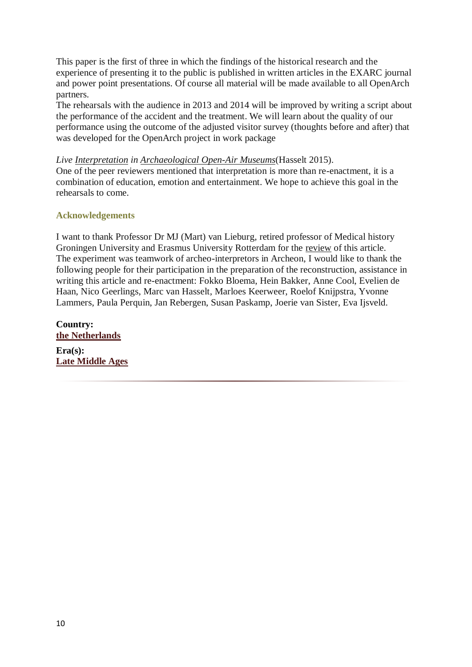This paper is the first of three in which the findings of the historical research and the experience of presenting it to the public is published in written articles in the EXARC journal and power point presentations. Of course all material will be made available to all OpenArch partners.

The rehearsals with the audience in 2013 and 2014 will be improved by writing a script about the performance of the accident and the treatment. We will learn about the quality of our performance using the outcome of the adjusted visitor survey (thoughts before and after) that was developed for the OpenArch project in work package

*Live [Interpretation](http://journal.exarc.net/lexicon/6#Interpretation) in [Archaeological Open-Air Museums](http://journal.exarc.net/lexicon/6#archaeological_open-air_museums)*(Hasselt 2015).

One of the peer reviewers mentioned that interpretation is more than re-enactment, it is a combination of education, emotion and entertainment. We hope to achieve this goal in the rehearsals to come.

# **Acknowledgements**

I want to thank Professor Dr MJ (Mart) van Lieburg, retired professor of Medical history Groningen University and Erasmus University Rotterdam for the [review](http://journal.exarc.net/lexicon/6#Review) of this article. The experiment was teamwork of archeo-interpretors in Archeon, I would like to thank the following people for their participation in the preparation of the reconstruction, assistance in writing this article and re-enactment: Fokko Bloema, Hein Bakker, Anne Cool, Evelien de Haan, Nico Geerlings, Marc van Hasselt, Marloes Keerweer, Roelof Knijpstra, Yvonne Lammers, Paula Perquin, Jan Rebergen, Susan Paskamp, Joerie van Sister, Eva Ijsveld.

**Country: [the Netherlands](http://journal.exarc.net/country/netherlands)**

**Era(s): [Late Middle Ages](http://journal.exarc.net/eras/late-middle-ages)**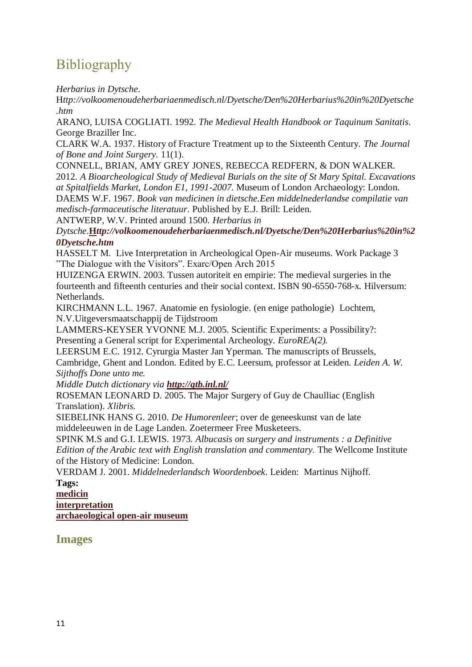# **Bibliography**

*Herbarius in Dytsche*.

H*ttp://volkoomenoudeherbariaenmedisch.nl/Dyetsche/Den%20Herbarius%20in%20Dyetsche .htm*

ARANO, LUISA COGLIATI. 1992. *The Medieval Health Handbook or Taquinum Sanitatis*. George Braziller Inc.

CLARK W.A. 1937. History of Fracture Treatment up to the Sixteenth Century. *The Journal of Bone and Joint Surgery.* 11(1).

CONNELL, BRIAN, AMY GREY JONES, REBECCA REDFERN, & DON WALKER. 2012. *A Bioarcheological Study of Medieval Burials on the site of St Mary Spital. Excavations at Spitalfields Market, London E1, 1991-2007*. Museum of London Archaeology: London. DAEMS W.F. 1967. *Book van medicinen in dietsche.Een middelnederlandse compilatie van medisch-farmaceutische literatuur*. Published by E.J. Brill: Leiden.

ANTWERP, W.V. Printed around 1500. *Herbarius in* 

*Dytsche*.**H***[ttp://volkoomenoudeherbariaenmedisch.nl/Dyetsche/Den%20Herbarius%20in%2](http://volkoomenoudeherbariaenmedisch.nl/Dyetsche/Den%20Herbarius%20in%20Dyetsche.htm) [0Dyetsche.htm](http://volkoomenoudeherbariaenmedisch.nl/Dyetsche/Den%20Herbarius%20in%20Dyetsche.htm)*

HASSELT M. Live Interpretation in Archeological Open-Air museums. Work Package 3 "The Dialogue with the Visitors". Exarc/Open Arch 2015

HUIZENGA ERWIN. 2003. Tussen autoriteit en empirie: The medieval surgeries in the fourteenth and fifteenth centuries and their social context. ISBN 90-6550-768-x*.* Hilversum: Netherlands.

KIRCHMANN L.L. 1967. Anatomie en fysiologie. (en enige pathologie) Lochtem, N.V.Uitgeversmaatschappij de Tijdstroom

LAMMERS-KEYSER YVONNE M.J. 2005. Scientific Experiments: a Possibility?: Presenting a General script for Experimental Archeology*. EuroREA(2).*

LEERSUM E.C. 1912. Cyrurgia Master Jan Yperman. The manuscripts of Brussels, Cambridge, Ghent and London. Edited by E.C. Leersum, professor at Leiden. *Leiden A. W. Sijthoffs Done unto me.*

*Middle Dutch dictionary via <http://gtb.inl.nl/>*

ROSEMAN LEONARD D. 2005. The Major Surgery of Guy de Chaulliac (English Translation). *Xlibris.*

SIEBELINK HANS G. 2010. *De Humorenleer*; over de geneeskunst van de late middeleeuwen in de Lage Landen. Zoetermeer Free Musketeers*.*

SPINK M.S and G.I. LEWIS. 1973. *Albucasis on surgery and instruments : a Definitive Edition of the Arabic text with English translation and commentary.* The Wellcome Institute of the History of Medicine: London*.*

VERDAM J. 2001. *Middelnederlandsch Woordenboek*. Leiden: Martinus Nijhoff. **Tags:**

**[medicin](http://journal.exarc.net/keywords/medicin)**

**[interpretation](http://journal.exarc.net/keywords/interpretation)**

**[archaeological open-air museum](http://journal.exarc.net/keywords/archaeological-open-air-museum)**

# **Images**